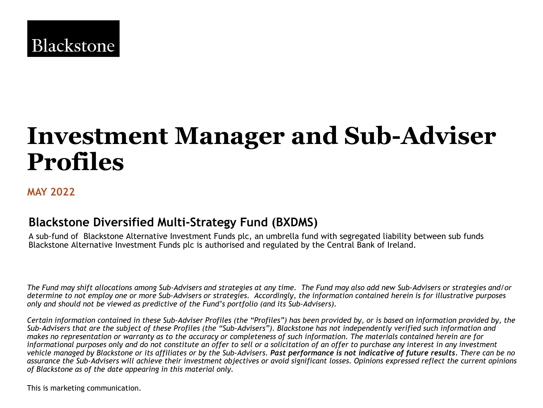

# **Investment Manager and Sub-Adviser Profiles**

## **MAY 2022**

# **Blackstone Diversified Multi-Strategy Fund (BXDMS)**

A sub-fund of Blackstone Alternative Investment Funds plc, an umbrella fund with segregated liability between sub funds Blackstone Alternative Investment Funds plc is authorised and regulated by the Central Bank of Ireland.

*The Fund may shift allocations among Sub-Advisers and strategies at any time. The Fund may also add new Sub-Advisers or strategies and/or determine to not employ one or more Sub-Advisers or strategies. Accordingly, the information contained herein is for illustrative purposes only and should not be viewed as predictive of the Fund's portfolio (and its Sub-Advisers).*

*Certain information contained in these Sub-Adviser Profiles (the "Profiles") has been provided by, or is based on information provided by, the Sub-Advisers that are the subject of these Profiles (the "Sub-Advisers"). Blackstone has not independently verified such information and makes no representation or warranty as to the accuracy or completeness of such information. The materials contained herein are for informational purposes only and do not constitute an offer to sell or a solicitation of an offer to purchase any interest in any investment vehicle managed by Blackstone or its affiliates or by the Sub-Advisers. Past performance is not indicative of future results. There can be no assurance the Sub-Advisers will achieve their investment objectives or avoid significant losses. Opinions expressed reflect the current opinions of Blackstone as of the date appearing in this material only.* 

This is marketing communication.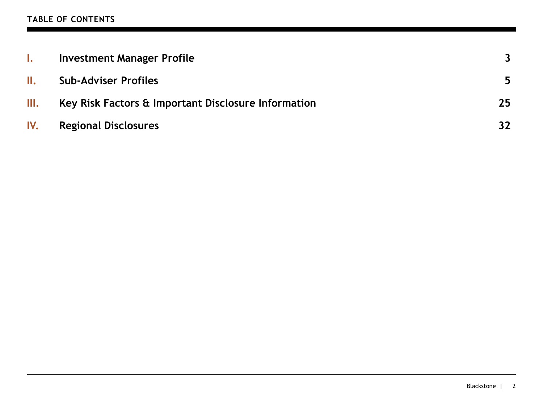## **TABLE OF CONTENTS**

| $\mathbf{I}$ . | <b>Investment Manager Profile</b>                              |                 |
|----------------|----------------------------------------------------------------|-----------------|
| II.            | <b>Sub-Adviser Profiles</b>                                    | 5               |
| Ш.             | <b>Key Risk Factors &amp; Important Disclosure Information</b> | 25 <sub>1</sub> |
| IV.            | <b>Regional Disclosures</b>                                    | 32              |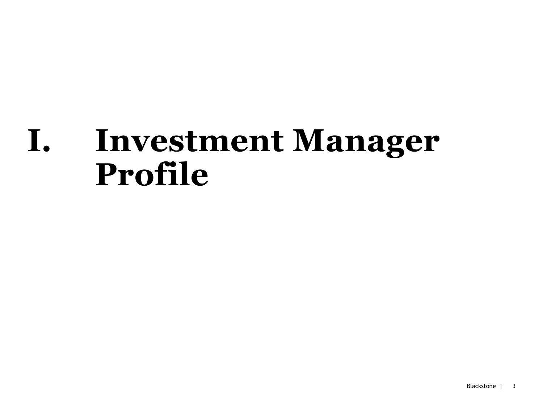# **I. Investment Manager Profile**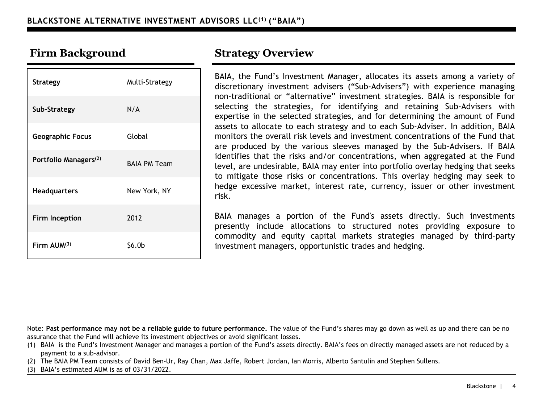| <b>Strategy</b>                   | Multi-Strategy      |
|-----------------------------------|---------------------|
| Sub-Strategy                      | N/A                 |
| <b>Geographic Focus</b>           | Global              |
| Portfolio Managers <sup>(2)</sup> | <b>BAIA PM Team</b> |
| <b>Headquarters</b>               | New York, NY        |
| <b>Firm Inception</b>             | 2012                |
| Firm $AUM^{(3)}$                  | \$6.0b              |

BAIA, the Fund's Investment Manager, allocates its assets among a variety of discretionary investment advisers ("Sub-Advisers") with experience managing non-traditional or "alternative" investment strategies. BAIA is responsible for selecting the strategies, for identifying and retaining Sub-Advisers with expertise in the selected strategies, and for determining the amount of Fund assets to allocate to each strategy and to each Sub-Adviser. In addition, BAIA monitors the overall risk levels and investment concentrations of the Fund that are produced by the various sleeves managed by the Sub-Advisers. If BAIA identifies that the risks and/or concentrations, when aggregated at the Fund level, are undesirable, BAIA may enter into portfolio overlay hedging that seeks to mitigate those risks or concentrations. This overlay hedging may seek to hedge excessive market, interest rate, currency, issuer or other investment risk.

BAIA manages a portion of the Fund's assets directly. Such investments presently include allocations to structured notes providing exposure to commodity and equity capital markets strategies managed by third-party investment managers, opportunistic trades and hedging.

Note: **Past performance may not be a reliable guide to future performance.** The value of the Fund's shares may go down as well as up and there can be no assurance that the Fund will achieve its investment objectives or avoid significant losses.

(1) BAIA is the Fund's Investment Manager and manages a portion of the Fund's assets directly. BAIA's fees on directly managed assets are not reduced by a payment to a sub-advisor.

(2) The BAIA PM Team consists of David Ben-Ur, Ray Chan, Max Jaffe, Robert Jordan, Ian Morris, Alberto Santulin and Stephen Sullens.

(3) BAIA's estimated AUM is as of 03/31/2022.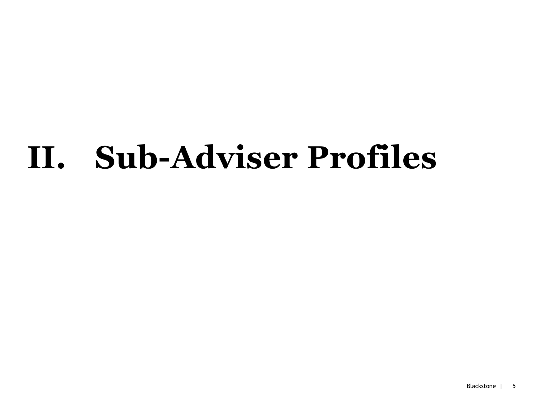# **II. Sub-Adviser Profiles**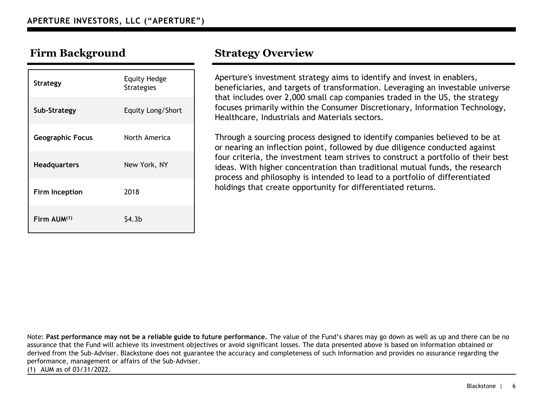| <b>Strategy</b>         | <b>Equity Hedge</b><br><b>Strategies</b> |
|-------------------------|------------------------------------------|
| Sub-Strategy            | Equity Long/Short                        |
| <b>Geographic Focus</b> | North America                            |
| <b>Headquarters</b>     | New York, NY                             |
| <b>Firm Inception</b>   | 2018                                     |
| Firm AUM(1)             | S4.3b                                    |

Aperture's investment strategy aims to identify and invest in enablers, beneficiaries, and targets of transformation. Leveraging an investable universe that includes over 2,000 small cap companies traded in the US, the strategy focuses primarily within the Consumer Discretionary, Information Technology, Healthcare, Industrials and Materials sectors.

Through a sourcing process designed to identify companies believed to be at or nearing an inflection point, followed by due diligence conducted against four criteria, the investment team strives to construct a portfolio of their best ideas. With higher concentration than traditional mutual funds, the research process and philosophy is intended to lead to a portfolio of differentiated holdings that create opportunity for differentiated returns.

Note: **Past performance may not be a reliable guide to future performance.** The value of the Fund's shares may go down as well as up and there can be no assurance that the Fund will achieve its investment objectives or avoid significant losses. The data presented above is based on information obtained or derived from the Sub-Adviser. Blackstone does not guarantee the accuracy and completeness of such information and provides no assurance regarding the performance, management or affairs of the Sub-Adviser.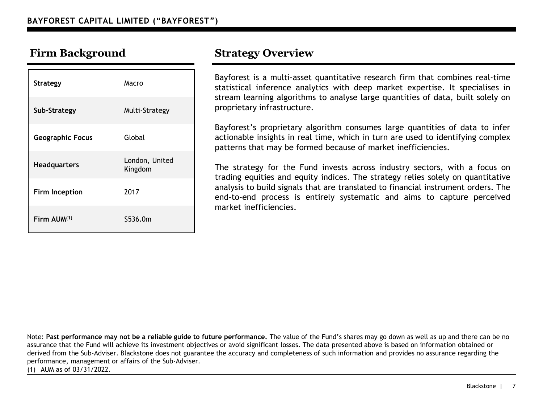| <b>Strategy</b>         | Macro                     |
|-------------------------|---------------------------|
| Sub-Strategy            | Multi-Strategy            |
| <b>Geographic Focus</b> | Global                    |
| Headquarters            | London, United<br>Kingdom |
| <b>Firm Inception</b>   | 2017                      |
| Firm $AlJM^{(1)}$       | \$536.0m                  |

Bayforest is a multi-asset quantitative research firm that combines real-time statistical inference analytics with deep market expertise. It specialises in stream learning algorithms to analyse large quantities of data, built solely on proprietary infrastructure.

Bayforest's proprietary algorithm consumes large quantities of data to infer actionable insights in real time, which in turn are used to identifying complex patterns that may be formed because of market inefficiencies.

The strategy for the Fund invests across industry sectors, with a focus on trading equities and equity indices. The strategy relies solely on quantitative analysis to build signals that are translated to financial instrument orders. The end-to-end process is entirely systematic and aims to capture perceived market inefficiencies.

Note: **Past performance may not be a reliable guide to future performance.** The value of the Fund's shares may go down as well as up and there can be no assurance that the Fund will achieve its investment objectives or avoid significant losses. The data presented above is based on information obtained or derived from the Sub-Adviser. Blackstone does not guarantee the accuracy and completeness of such information and provides no assurance regarding the performance, management or affairs of the Sub-Adviser.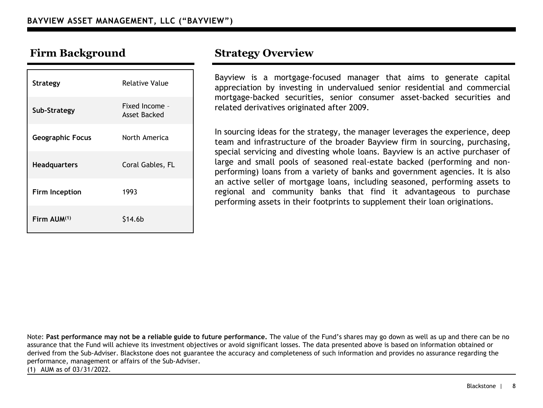| <b>Strategy</b>         | Relative Value                 |
|-------------------------|--------------------------------|
| Sub-Strategy            | Fixed Income -<br>Asset Backed |
| <b>Geographic Focus</b> | North America                  |
| <b>Headquarters</b>     | Coral Gables, FL               |
| Firm Inception          | 1993                           |
| Firm AUM(1)             | S14.6b                         |

Bayview is a mortgage-focused manager that aims to generate capital appreciation by investing in undervalued senior residential and commercial mortgage-backed securities, senior consumer asset-backed securities and related derivatives originated after 2009.

In sourcing ideas for the strategy, the manager leverages the experience, deep team and infrastructure of the broader Bayview firm in sourcing, purchasing, special servicing and divesting whole loans. Bayview is an active purchaser of large and small pools of seasoned real-estate backed (performing and nonperforming) loans from a variety of banks and government agencies. It is also an active seller of mortgage loans, including seasoned, performing assets to regional and community banks that find it advantageous to purchase performing assets in their footprints to supplement their loan originations.

Note: **Past performance may not be a reliable guide to future performance.** The value of the Fund's shares may go down as well as up and there can be no assurance that the Fund will achieve its investment objectives or avoid significant losses. The data presented above is based on information obtained or derived from the Sub-Adviser. Blackstone does not guarantee the accuracy and completeness of such information and provides no assurance regarding the performance, management or affairs of the Sub-Adviser.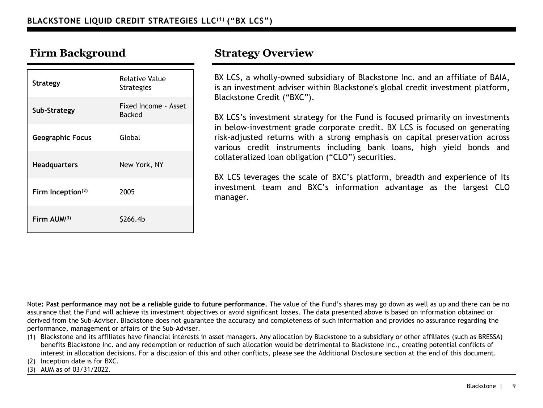| <b>Strategy</b>               | <b>Relative Value</b><br><b>Strategies</b> |
|-------------------------------|--------------------------------------------|
| Sub-Strategy                  | Fixed Income - Asset<br><b>Backed</b>      |
| <b>Geographic Focus</b>       | Global                                     |
| <b>Headquarters</b>           | New York, NY                               |
| Firm Inception <sup>(2)</sup> | 2005                                       |
| Firm $AUM^{(3)}$              | S266.4b                                    |

BX LCS, a wholly-owned subsidiary of Blackstone Inc. and an affiliate of BAIA, is an investment adviser within Blackstone's global credit investment platform, Blackstone Credit ("BXC").

BX LCS's investment strategy for the Fund is focused primarily on investments in below-investment grade corporate credit. BX LCS is focused on generating risk-adjusted returns with a strong emphasis on capital preservation across various credit instruments including bank loans, high yield bonds and collateralized loan obligation ("CLO") securities.

BX LCS leverages the scale of BXC's platform, breadth and experience of its investment team and BXC's information advantage as the largest CLO manager.

Note**: Past performance may not be a reliable guide to future performance.** The value of the Fund's shares may go down as well as up and there can be no assurance that the Fund will achieve its investment objectives or avoid significant losses. The data presented above is based on information obtained or derived from the Sub-Adviser. Blackstone does not guarantee the accuracy and completeness of such information and provides no assurance regarding the performance, management or affairs of the Sub-Adviser.

(1) Blackstone and its affiliates have financial interests in asset managers. Any allocation by Blackstone to a subsidiary or other affiliates (such as BRESSA) benefits Blackstone Inc. and any redemption or reduction of such allocation would be detrimental to Blackstone Inc., creating potential conflicts of interest in allocation decisions. For a discussion of this and other conflicts, please see the Additional Disclosure section at the end of this document.

(2) Inception date is for BXC.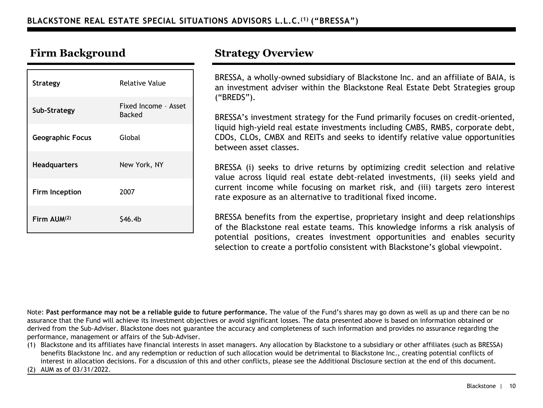| <b>Strategy</b>         | <b>Relative Value</b>          |
|-------------------------|--------------------------------|
| Sub-Strategy            | Fixed Income - Asset<br>Backed |
| <b>Geographic Focus</b> | Global                         |
| <b>Headquarters</b>     | New York, NY                   |
| Firm Inception          | 2007                           |
| Firm $AlJM^{(2)}$       | S46.4b                         |

BRESSA, a wholly-owned subsidiary of Blackstone Inc. and an affiliate of BAIA, is an investment adviser within the Blackstone Real Estate Debt Strategies group ("BREDS").

BRESSA's investment strategy for the Fund primarily focuses on credit-oriented, liquid high-yield real estate investments including CMBS, RMBS, corporate debt, CDOs, CLOs, CMBX and REITs and seeks to identify relative value opportunities between asset classes.

BRESSA (i) seeks to drive returns by optimizing credit selection and relative value across liquid real estate debt-related investments, (ii) seeks yield and current income while focusing on market risk, and (iii) targets zero interest rate exposure as an alternative to traditional fixed income.

BRESSA benefits from the expertise, proprietary insight and deep relationships of the Blackstone real estate teams. This knowledge informs a risk analysis of potential positions, creates investment opportunities and enables security selection to create a portfolio consistent with Blackstone's global viewpoint.

Note: **Past performance may not be a reliable guide to future performance.** The value of the Fund's shares may go down as well as up and there can be no assurance that the Fund will achieve its investment objectives or avoid significant losses. The data presented above is based on information obtained or derived from the Sub-Adviser. Blackstone does not guarantee the accuracy and completeness of such information and provides no assurance regarding the performance, management or affairs of the Sub-Adviser.

(1) Blackstone and its affiliates have financial interests in asset managers. Any allocation by Blackstone to a subsidiary or other affiliates (such as BRESSA) benefits Blackstone Inc. and any redemption or reduction of such allocation would be detrimental to Blackstone Inc., creating potential conflicts of interest in allocation decisions. For a discussion of this and other conflicts, please see the Additional Disclosure section at the end of this document.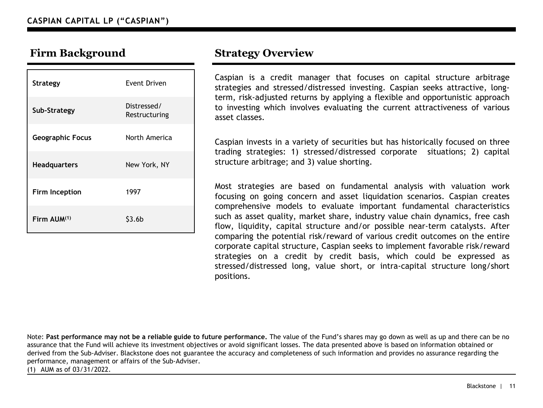| <b>Strategy</b>         | Event Driven                 |
|-------------------------|------------------------------|
| Sub-Strategy            | Distressed/<br>Restructuring |
| <b>Geographic Focus</b> | North America                |
| <b>Headquarters</b>     | New York, NY                 |
| Firm Inception          | 1997                         |
| Firm $AlJM^{(1)}$       | \$3.6b                       |

Caspian is a credit manager that focuses on capital structure arbitrage strategies and stressed/distressed investing. Caspian seeks attractive, longterm, risk-adjusted returns by applying a flexible and opportunistic approach to investing which involves evaluating the current attractiveness of various asset classes.

Caspian invests in a variety of securities but has historically focused on three trading strategies: 1) stressed/distressed corporate situations; 2) capital structure arbitrage; and 3) value shorting.

Most strategies are based on fundamental analysis with valuation work focusing on going concern and asset liquidation scenarios. Caspian creates comprehensive models to evaluate important fundamental characteristics such as asset quality, market share, industry value chain dynamics, free cash flow, liquidity, capital structure and/or possible near-term catalysts. After comparing the potential risk/reward of various credit outcomes on the entire corporate capital structure, Caspian seeks to implement favorable risk/reward strategies on a credit by credit basis, which could be expressed as stressed/distressed long, value short, or intra-capital structure long/short positions.

Note: **Past performance may not be a reliable guide to future performance.** The value of the Fund's shares may go down as well as up and there can be no assurance that the Fund will achieve its investment objectives or avoid significant losses. The data presented above is based on information obtained or derived from the Sub-Adviser. Blackstone does not guarantee the accuracy and completeness of such information and provides no assurance regarding the performance, management or affairs of the Sub-Adviser.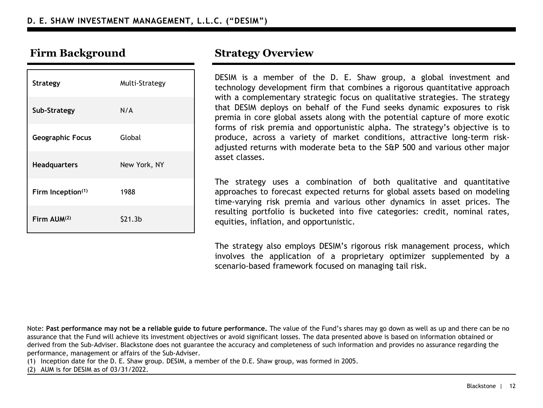| <b>Strategy</b>         | Multi-Strategy |
|-------------------------|----------------|
| Sub-Strategy            | N/A            |
| <b>Geographic Focus</b> | Global         |
| <b>Headquarters</b>     | New York, NY   |
| Firm Inception(1)       | 1988           |
| Firm AUM(2)             | \$21.3b        |

DESIM is a member of the D. E. Shaw group, a global investment and technology development firm that combines a rigorous quantitative approach with a complementary strategic focus on qualitative strategies. The strategy that DESIM deploys on behalf of the Fund seeks dynamic exposures to risk premia in core global assets along with the potential capture of more exotic forms of risk premia and opportunistic alpha. The strategy's objective is to produce, across a variety of market conditions, attractive long-term riskadjusted returns with moderate beta to the S&P 500 and various other major asset classes.

The strategy uses a combination of both qualitative and quantitative approaches to forecast expected returns for global assets based on modeling time-varying risk premia and various other dynamics in asset prices. The resulting portfolio is bucketed into five categories: credit, nominal rates, equities, inflation, and opportunistic.

The strategy also employs DESIM's rigorous risk management process, which involves the application of a proprietary optimizer supplemented by a scenario-based framework focused on managing tail risk.

Note: **Past performance may not be a reliable guide to future performance.** The value of the Fund's shares may go down as well as up and there can be no assurance that the Fund will achieve its investment objectives or avoid significant losses. The data presented above is based on information obtained or derived from the Sub-Adviser. Blackstone does not guarantee the accuracy and completeness of such information and provides no assurance regarding the performance, management or affairs of the Sub-Adviser.

(1) Inception date for the D. E. Shaw group. DESIM, a member of the D.E. Shaw group, was formed in 2005.

(2) AUM is for DESIM as of 03/31/2022.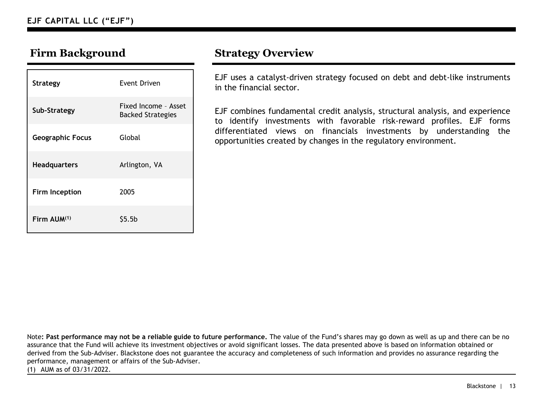| <b>Strategy</b>         | Event Driven                                     |
|-------------------------|--------------------------------------------------|
| Sub-Strategy            | Fixed Income - Asset<br><b>Backed Strategies</b> |
| <b>Geographic Focus</b> | Global                                           |
| <b>Headquarters</b>     | Arlington, VA                                    |
| <b>Firm Inception</b>   | 2005                                             |
| Firm AUM(1)             | \$5.5b                                           |

EJF uses a catalyst-driven strategy focused on debt and debt-like instruments in the financial sector.

EJF combines fundamental credit analysis, structural analysis, and experience to identify investments with favorable risk-reward profiles. EJF forms differentiated views on financials investments by understanding the opportunities created by changes in the regulatory environment.

Note**: Past performance may not be a reliable guide to future performance.** The value of the Fund's shares may go down as well as up and there can be no assurance that the Fund will achieve its investment objectives or avoid significant losses. The data presented above is based on information obtained or derived from the Sub-Adviser. Blackstone does not guarantee the accuracy and completeness of such information and provides no assurance regarding the performance, management or affairs of the Sub-Adviser.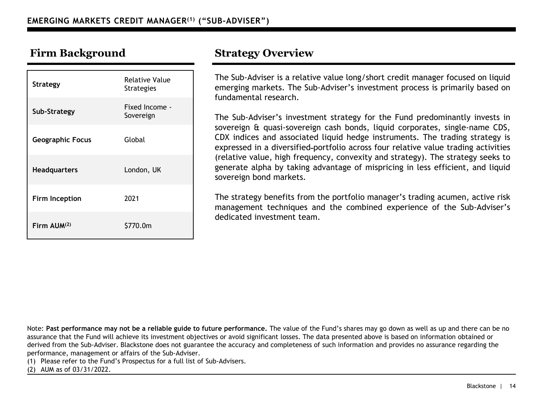| Strategy                | Relative Value<br><b>Strategies</b> |
|-------------------------|-------------------------------------|
| Sub-Strategy            | Fixed Income -<br>Sovereign         |
| <b>Geographic Focus</b> | Global                              |
| <b>Headquarters</b>     | London, UK                          |
| <b>Firm Inception</b>   | 2021                                |
| Firm AUM(2)             | \$770.0m                            |

The Sub-Adviser is a relative value long/short credit manager focused on liquid emerging markets. The Sub-Adviser's investment process is primarily based on fundamental research.

The Sub-Adviser's investment strategy for the Fund predominantly invests in sovereign & quasi-sovereign cash bonds, liquid corporates, single-name CDS, CDX indices and associated liquid hedge instruments. The trading strategy is expressed in a diversified portfolio across four relative value trading activities (relative value, high frequency, convexity and strategy). The strategy seeks to generate alpha by taking advantage of mispricing in less efficient, and liquid sovereign bond markets.

The strategy benefits from the portfolio manager's trading acumen, active risk management techniques and the combined experience of the Sub-Adviser's dedicated investment team.

Note: **Past performance may not be a reliable guide to future performance.** The value of the Fund's shares may go down as well as up and there can be no assurance that the Fund will achieve its investment objectives or avoid significant losses. The data presented above is based on information obtained or derived from the Sub-Adviser. Blackstone does not guarantee the accuracy and completeness of such information and provides no assurance regarding the performance, management or affairs of the Sub-Adviser.

(1) Please refer to the Fund's Prospectus for a full list of Sub-Advisers.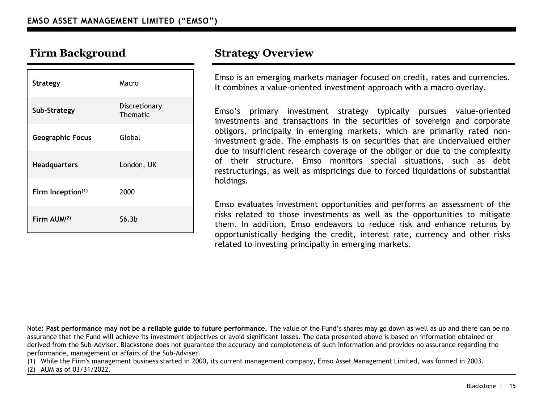| <b>Strategy</b>         | Macro                     |
|-------------------------|---------------------------|
| Sub-Strategy            | Discretionary<br>Thematic |
| <b>Geographic Focus</b> | Global                    |
| Headquarters            | London, UK                |
| Firm Inception(1)       | 2000                      |
| Firm $AlJM^{(2)}$       | \$6.3 <sub>b</sub>        |

Emso is an emerging markets manager focused on credit, rates and currencies. It combines a value-oriented investment approach with a macro overlay.

Emso's primary investment strategy typically pursues value-oriented investments and transactions in the securities of sovereign and corporate obligors, principally in emerging markets, which are primarily rated noninvestment grade. The emphasis is on securities that are undervalued either due to insufficient research coverage of the obligor or due to the complexity of their structure. Emso monitors special situations, such as debt restructurings, as well as mispricings due to forced liquidations of substantial holdings.

Emso evaluates investment opportunities and performs an assessment of the risks related to those investments as well as the opportunities to mitigate them. In addition, Emso endeavors to reduce risk and enhance returns by opportunistically hedging the credit, interest rate, currency and other risks related to investing principally in emerging markets.

Note: **Past performance may not be a reliable guide to future performance.** The value of the Fund's shares may go down as well as up and there can be no assurance that the Fund will achieve its investment objectives or avoid significant losses. The data presented above is based on information obtained or derived from the Sub-Adviser. Blackstone does not guarantee the accuracy and completeness of such information and provides no assurance regarding the performance, management or affairs of the Sub-Adviser.

(1) While the Firm's management business started in 2000, its current management company, Emso Asset Management Limited, was formed in 2003.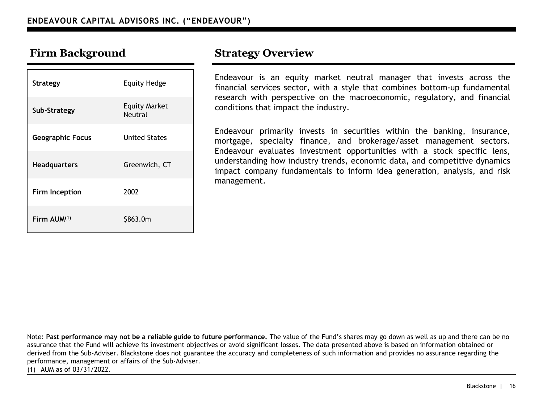| <b>Strategy</b>         | <b>Equity Hedge</b>                    |
|-------------------------|----------------------------------------|
| Sub-Strategy            | <b>Equity Market</b><br><b>Neutral</b> |
| <b>Geographic Focus</b> | <b>United States</b>                   |
| <b>Headquarters</b>     | Greenwich, CT                          |
| Firm Inception          | 2002                                   |
| Firm AUM(1)             | \$863.0m                               |

Endeavour is an equity market neutral manager that invests across the financial services sector, with a style that combines bottom-up fundamental research with perspective on the macroeconomic, regulatory, and financial conditions that impact the industry.

Endeavour primarily invests in securities within the banking, insurance, mortgage, specialty finance, and brokerage/asset management sectors. Endeavour evaluates investment opportunities with a stock specific lens, understanding how industry trends, economic data, and competitive dynamics impact company fundamentals to inform idea generation, analysis, and risk management.

Note: **Past performance may not be a reliable guide to future performance.** The value of the Fund's shares may go down as well as up and there can be no assurance that the Fund will achieve its investment objectives or avoid significant losses. The data presented above is based on information obtained or derived from the Sub-Adviser. Blackstone does not guarantee the accuracy and completeness of such information and provides no assurance regarding the performance, management or affairs of the Sub-Adviser.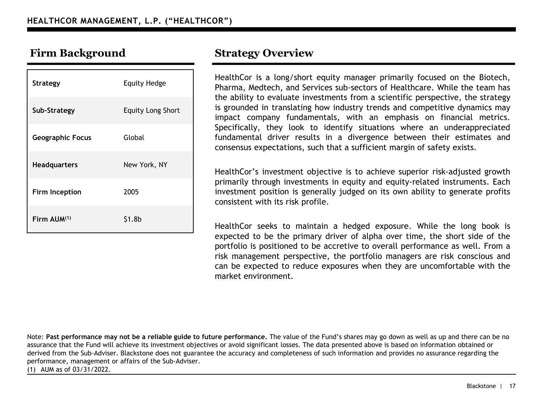| Strategy                | <b>Equity Hedge</b>      |
|-------------------------|--------------------------|
| Sub-Strategy            | <b>Equity Long Short</b> |
| <b>Geographic Focus</b> | Global                   |
| Headquarters            | New York, NY             |
| <b>Firm Inception</b>   | 2005                     |
| Firm AUM(1)             | \$1.8b                   |

HealthCor is a long/short equity manager primarily focused on the Biotech, Pharma, Medtech, and Services sub-sectors of Healthcare. While the team has the ability to evaluate investments from a scientific perspective, the strategy is grounded in translating how industry trends and competitive dynamics may impact company fundamentals, with an emphasis on financial metrics. Specifically, they look to identify situations where an underappreciated fundamental driver results in a divergence between their estimates and consensus expectations, such that a sufficient margin of safety exists.

HealthCor's investment objective is to achieve superior risk-adjusted growth primarily through investments in equity and equity-related instruments. Each investment position is generally judged on its own ability to generate profits consistent with its risk profile.

HealthCor seeks to maintain a hedged exposure. While the long book is expected to be the primary driver of alpha over time, the short side of the portfolio is positioned to be accretive to overall performance as well. From a risk management perspective, the portfolio managers are risk conscious and can be expected to reduce exposures when they are uncomfortable with the market environment.

Note: **Past performance may not be a reliable guide to future performance.** The value of the Fund's shares may go down as well as up and there can be no assurance that the Fund will achieve its investment objectives or avoid significant losses. The data presented above is based on information obtained or derived from the Sub-Adviser. Blackstone does not guarantee the accuracy and completeness of such information and provides no assurance regarding the performance, management or affairs of the Sub-Adviser.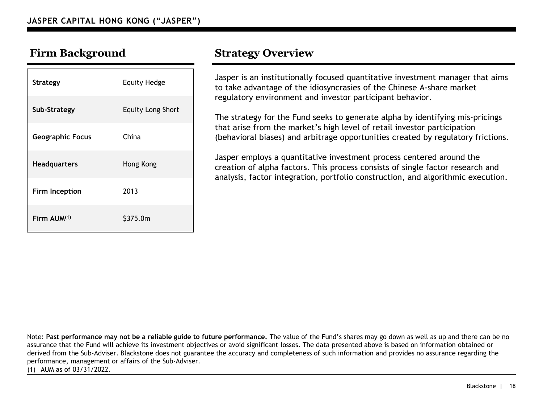| <b>Strategy</b>         | <b>Equity Hedge</b>      |
|-------------------------|--------------------------|
| Sub-Strategy            | <b>Equity Long Short</b> |
| <b>Geographic Focus</b> | China                    |
| <b>Headquarters</b>     | Hong Kong                |
| Firm Inception          | 2013                     |
| Firm AUM(1)             | \$375.0m                 |

Jasper is an institutionally focused quantitative investment manager that aims to take advantage of the idiosyncrasies of the Chinese A-share market regulatory environment and investor participant behavior.

The strategy for the Fund seeks to generate alpha by identifying mis-pricings that arise from the market's high level of retail investor participation (behavioral biases) and arbitrage opportunities created by regulatory frictions.

Jasper employs a quantitative investment process centered around the creation of alpha factors. This process consists of single factor research and analysis, factor integration, portfolio construction, and algorithmic execution.

Note: **Past performance may not be a reliable guide to future performance.** The value of the Fund's shares may go down as well as up and there can be no assurance that the Fund will achieve its investment objectives or avoid significant losses. The data presented above is based on information obtained or derived from the Sub-Adviser. Blackstone does not guarantee the accuracy and completeness of such information and provides no assurance regarding the performance, management or affairs of the Sub-Adviser.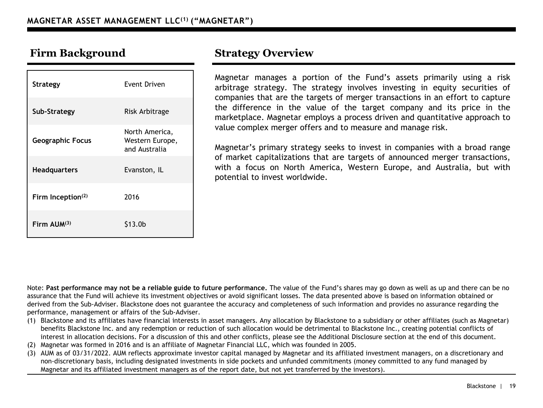| <b>Strategy</b>         | Event Driven                                       |
|-------------------------|----------------------------------------------------|
| Sub-Strategy            | Risk Arbitrage                                     |
| <b>Geographic Focus</b> | North America,<br>Western Europe,<br>and Australia |
| <b>Headquarters</b>     | Evanston, IL                                       |
| Firm Inception(2)       | 2016                                               |
| Firm $AlJM^{(3)}$       | \$13.0b                                            |

Magnetar manages a portion of the Fund's assets primarily using a risk arbitrage strategy. The strategy involves investing in equity securities of companies that are the targets of merger transactions in an effort to capture the difference in the value of the target company and its price in the marketplace. Magnetar employs a process driven and quantitative approach to value complex merger offers and to measure and manage risk.

Magnetar's primary strategy seeks to invest in companies with a broad range of market capitalizations that are targets of announced merger transactions, with a focus on North America, Western Europe, and Australia, but with potential to invest worldwide.

Note: **Past performance may not be a reliable guide to future performance.** The value of the Fund's shares may go down as well as up and there can be no assurance that the Fund will achieve its investment objectives or avoid significant losses. The data presented above is based on information obtained or derived from the Sub-Adviser. Blackstone does not guarantee the accuracy and completeness of such information and provides no assurance regarding the performance, management or affairs of the Sub-Adviser.

- (1) Blackstone and its affiliates have financial interests in asset managers. Any allocation by Blackstone to a subsidiary or other affiliates (such as Magnetar) benefits Blackstone Inc. and any redemption or reduction of such allocation would be detrimental to Blackstone Inc., creating potential conflicts of interest in allocation decisions. For a discussion of this and other conflicts, please see the Additional Disclosure section at the end of this document.
- (2) Magnetar was formed in 2016 and is an affiliate of Magnetar Financial LLC, which was founded in 2005.
- (3) AUM as of 03/31/2022. AUM reflects approximate investor capital managed by Magnetar and its affiliated investment managers, on a discretionary and non-discretionary basis, including designated investments in side pockets and unfunded commitments (money committed to any fund managed by Magnetar and its affiliated investment managers as of the report date, but not yet transferred by the investors).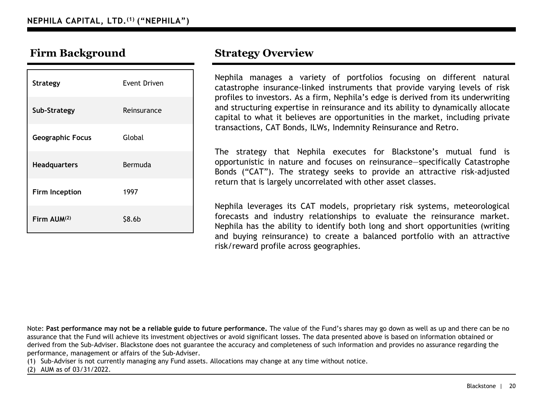| <b>Strategy</b>         | Event Driven       |
|-------------------------|--------------------|
| Sub-Strategy            | Reinsurance        |
| <b>Geographic Focus</b> | Global             |
| <b>Headquarters</b>     | Bermuda            |
| Firm Inception          | 1997               |
| Firm AUM(2)             | \$8.6 <sub>b</sub> |

Nephila manages a variety of portfolios focusing on different natural catastrophe insurance-linked instruments that provide varying levels of risk profiles to investors. As a firm, Nephila's edge is derived from its underwriting and structuring expertise in reinsurance and its ability to dynamically allocate capital to what it believes are opportunities in the market, including private transactions, CAT Bonds, ILWs, Indemnity Reinsurance and Retro.

The strategy that Nephila executes for Blackstone's mutual fund is opportunistic in nature and focuses on reinsurance—specifically Catastrophe Bonds ("CAT"). The strategy seeks to provide an attractive risk-adjusted return that is largely uncorrelated with other asset classes.

Nephila leverages its CAT models, proprietary risk systems, meteorological forecasts and industry relationships to evaluate the reinsurance market. Nephila has the ability to identify both long and short opportunities (writing and buying reinsurance) to create a balanced portfolio with an attractive risk/reward profile across geographies.

Note: **Past performance may not be a reliable guide to future performance.** The value of the Fund's shares may go down as well as up and there can be no assurance that the Fund will achieve its investment objectives or avoid significant losses. The data presented above is based on information obtained or derived from the Sub-Adviser. Blackstone does not guarantee the accuracy and completeness of such information and provides no assurance regarding the performance, management or affairs of the Sub-Adviser.

(1) Sub-Adviser is not currently managing any Fund assets. Allocations may change at any time without notice.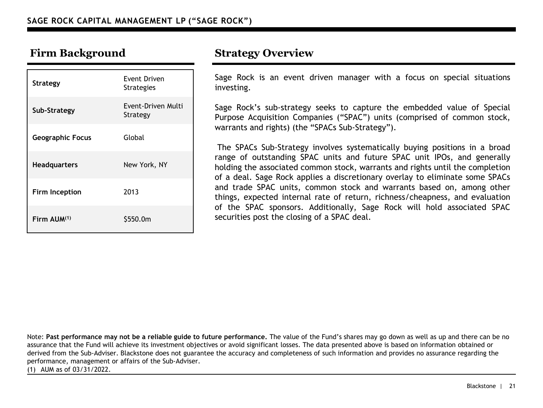| <b>Strategy</b>         | Event Driven<br><b>Strategies</b> |
|-------------------------|-----------------------------------|
| Sub-Strategy            | Event-Driven Multi<br>Strategy    |
| <b>Geographic Focus</b> | Global                            |
| <b>Headquarters</b>     | New York, NY                      |
| Firm Inception          | 2013                              |
| Firm AUM(1)             | \$550.0m                          |

Sage Rock is an event driven manager with a focus on special situations investing.

Sage Rock's sub-strategy seeks to capture the embedded value of Special Purpose Acquisition Companies ("SPAC") units (comprised of common stock, warrants and rights) (the "SPACs Sub-Strategy").

The SPACs Sub-Strategy involves systematically buying positions in a broad range of outstanding SPAC units and future SPAC unit IPOs, and generally holding the associated common stock, warrants and rights until the completion of a deal. Sage Rock applies a discretionary overlay to eliminate some SPACs and trade SPAC units, common stock and warrants based on, among other things, expected internal rate of return, richness/cheapness, and evaluation of the SPAC sponsors. Additionally, Sage Rock will hold associated SPAC securities post the closing of a SPAC deal.

Note: **Past performance may not be a reliable guide to future performance.** The value of the Fund's shares may go down as well as up and there can be no assurance that the Fund will achieve its investment objectives or avoid significant losses. The data presented above is based on information obtained or derived from the Sub-Adviser. Blackstone does not guarantee the accuracy and completeness of such information and provides no assurance regarding the performance, management or affairs of the Sub-Adviser.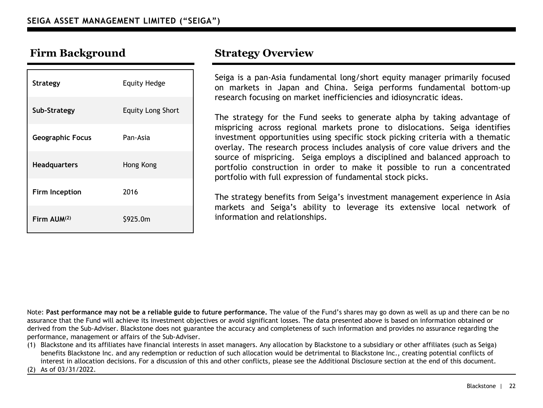| <b>Strategy</b>         | <b>Equity Hedge</b>      |
|-------------------------|--------------------------|
| Sub-Strategy            | <b>Equity Long Short</b> |
| <b>Geographic Focus</b> | Pan-Asia                 |
| <b>Headquarters</b>     | Hong Kong                |
| Firm Inception          | 2016                     |
| Firm AUM(2)             | \$925.0m                 |

Seiga is a pan-Asia fundamental long/short equity manager primarily focused on markets in Japan and China. Seiga performs fundamental bottom-up research focusing on market inefficiencies and idiosyncratic ideas.

The strategy for the Fund seeks to generate alpha by taking advantage of mispricing across regional markets prone to dislocations. Seiga identifies investment opportunities using specific stock picking criteria with a thematic overlay. The research process includes analysis of core value drivers and the source of mispricing. Seiga employs a disciplined and balanced approach to portfolio construction in order to make it possible to run a concentrated portfolio with full expression of fundamental stock picks.

The strategy benefits from Seiga's investment management experience in Asia markets and Seiga's ability to leverage its extensive local network of information and relationships.

Note: **Past performance may not be a reliable guide to future performance.** The value of the Fund's shares may go down as well as up and there can be no assurance that the Fund will achieve its investment objectives or avoid significant losses. The data presented above is based on information obtained or derived from the Sub-Adviser. Blackstone does not guarantee the accuracy and completeness of such information and provides no assurance regarding the performance, management or affairs of the Sub-Adviser.

(1) Blackstone and its affiliates have financial interests in asset managers. Any allocation by Blackstone to a subsidiary or other affiliates (such as Seiga) benefits Blackstone Inc. and any redemption or reduction of such allocation would be detrimental to Blackstone Inc., creating potential conflicts of interest in allocation decisions. For a discussion of this and other conflicts, please see the Additional Disclosure section at the end of this document.

(2) As of 03/31/2022.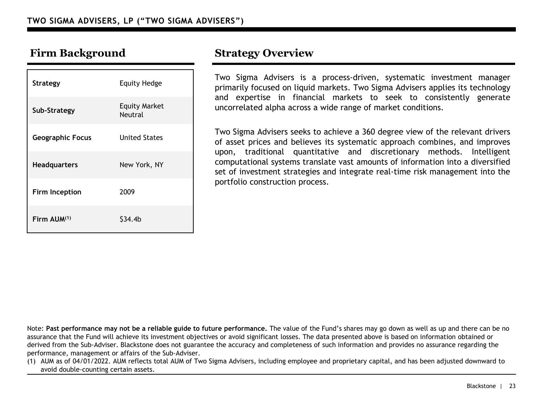| <b>Strategy</b>         | <b>Equity Hedge</b>             |
|-------------------------|---------------------------------|
| Sub-Strategy            | <b>Equity Market</b><br>Neutral |
| <b>Geographic Focus</b> | <b>United States</b>            |
| <b>Headquarters</b>     | New York, NY                    |
| Firm Inception          | 2009                            |
| Firm AUM(1)             | S34.4b                          |

Two Sigma Advisers is a process-driven, systematic investment manager primarily focused on liquid markets. Two Sigma Advisers applies its technology and expertise in financial markets to seek to consistently generate uncorrelated alpha across a wide range of market conditions.

Two Sigma Advisers seeks to achieve a 360 degree view of the relevant drivers of asset prices and believes its systematic approach combines, and improves upon, traditional quantitative and discretionary methods. Intelligent computational systems translate vast amounts of information into a diversified set of investment strategies and integrate real-time risk management into the portfolio construction process.

Note: **Past performance may not be a reliable guide to future performance.** The value of the Fund's shares may go down as well as up and there can be no assurance that the Fund will achieve its investment objectives or avoid significant losses. The data presented above is based on information obtained or derived from the Sub-Adviser. Blackstone does not guarantee the accuracy and completeness of such information and provides no assurance regarding the performance, management or affairs of the Sub-Adviser.

(1) AUM as of 04/01/2022. AUM reflects total AUM of Two Sigma Advisers, including employee and proprietary capital, and has been adjusted downward to avoid double-counting certain assets.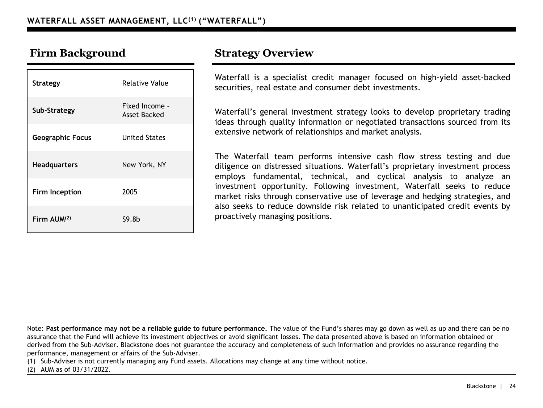| Strategy                | Relative Value                 |
|-------------------------|--------------------------------|
| Sub-Strategy            | Fixed Income -<br>Asset Backed |
| <b>Geographic Focus</b> | <b>United States</b>           |
| <b>Headquarters</b>     | New York, NY                   |
| Firm Inception          | 2005                           |
| Firm $AlJM^{(2)}$       | \$9.8b                         |

Waterfall is a specialist credit manager focused on high-yield asset-backed securities, real estate and consumer debt investments.

Waterfall's general investment strategy looks to develop proprietary trading ideas through quality information or negotiated transactions sourced from its extensive network of relationships and market analysis.

The Waterfall team performs intensive cash flow stress testing and due diligence on distressed situations. Waterfall's proprietary investment process employs fundamental, technical, and cyclical analysis to analyze an investment opportunity. Following investment, Waterfall seeks to reduce market risks through conservative use of leverage and hedging strategies, and also seeks to reduce downside risk related to unanticipated credit events by proactively managing positions.

Note: **Past performance may not be a reliable guide to future performance.** The value of the Fund's shares may go down as well as up and there can be no assurance that the Fund will achieve its investment objectives or avoid significant losses. The data presented above is based on information obtained or derived from the Sub-Adviser. Blackstone does not guarantee the accuracy and completeness of such information and provides no assurance regarding the performance, management or affairs of the Sub-Adviser.

(1) Sub-Adviser is not currently managing any Fund assets. Allocations may change at any time without notice.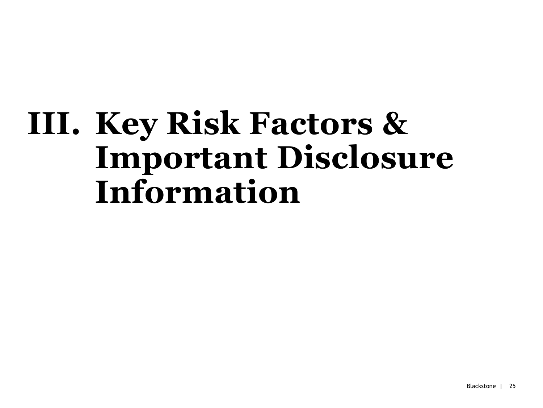# **III. Key Risk Factors & Important Disclosure Information**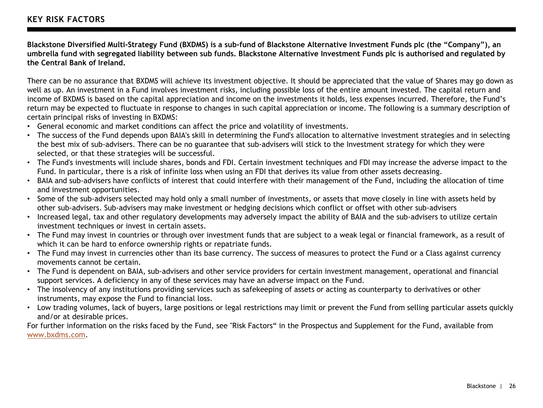**Blackstone Diversified Multi-Strategy Fund (BXDMS) is a sub-fund of Blackstone Alternative Investment Funds plc (the "Company"), an umbrella fund with segregated liability between sub funds. Blackstone Alternative Investment Funds plc is authorised and regulated by the Central Bank of Ireland.** 

There can be no assurance that BXDMS will achieve its investment objective. It should be appreciated that the value of Shares may go down as well as up. An investment in a Fund involves investment risks, including possible loss of the entire amount invested. The capital return and income of BXDMS is based on the capital appreciation and income on the investments it holds, less expenses incurred. Therefore, the Fund's return may be expected to fluctuate in response to changes in such capital appreciation or income. The following is a summary description of certain principal risks of investing in BXDMS:

- General economic and market conditions can affect the price and volatility of investments.
- The success of the Fund depends upon BAIA's skill in determining the Fund's allocation to alternative investment strategies and in selecting the best mix of sub-advisers. There can be no guarantee that sub-advisers will stick to the Investment strategy for which they were selected, or that these strategies will be successful.
- The Fund's investments will include shares, bonds and FDI. Certain investment techniques and FDI may increase the adverse impact to the Fund. In particular, there is a risk of infinite loss when using an FDI that derives its value from other assets decreasing.
- BAIA and sub-advisers have conflicts of interest that could interfere with their management of the Fund, including the allocation of time and investment opportunities.
- Some of the sub-advisers selected may hold only a small number of investments, or assets that move closely in line with assets held by other sub-advisers. Sub-advisers may make investment or hedging decisions which conflict or offset with other sub-advisers
- Increased legal, tax and other regulatory developments may adversely impact the ability of BAIA and the sub-advisers to utilize certain investment techniques or invest in certain assets.
- The Fund may invest in countries or through over investment funds that are subject to a weak legal or financial framework, as a result of which it can be hard to enforce ownership rights or repatriate funds.
- The Fund may invest in currencies other than its base currency. The success of measures to protect the Fund or a Class against currency movements cannot be certain.
- The Fund is dependent on BAIA, sub-advisers and other service providers for certain investment management, operational and financial support services. A deficiency in any of these services may have an adverse impact on the Fund.
- The insolvency of any institutions providing services such as safekeeping of assets or acting as counterparty to derivatives or other instruments, may expose the Fund to financial loss.
- Low trading volumes, lack of buyers, large positions or legal restrictions may limit or prevent the Fund from selling particular assets quickly and/or at desirable prices.

For further information on the risks faced by the Fund, see "Risk Factors" in the Prospectus and Supplement for the Fund, available from [www.bxdms.com](http://www.bxdms.com/).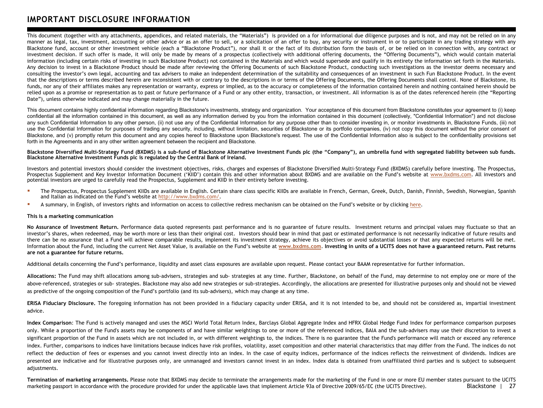### **IMPORTANT DISCLOSURE INFORMATION**

This document (together with any attachments, appendices, and related materials, the "Materials") is provided on a for informational due diligence purposes and is not, and may not be relied on in any manner as legal, tax, investment, accounting or other advice or as an offer to sell, or a solicitation of an offer to buy, any security or instrument in or to participate in any trading strategy with any Blackstone fund, account or other investment vehicle (each a "Blackstone Product"), nor shall it or the fact of its distribution form the basis of, or be relied on in connection with, any contract or investment decision. If such offer is made, it will only be made by means of a prospectus (collectively with additional offering documents, the "Offering Documents"), which would contain material information (including certain risks of investing in such Blackstone Product) not contained in the Materials and which would supersede and qualify in its entirety the information set forth in the Materials. Any decision to invest in a Blackstone Product should be made after reviewing the Offering Documents of such Blackstone Product, conducting such investigations as the investor deems necessary and consulting the investor's own legal, accounting and tax advisers to make an independent determination of the suitability and consequences of an investment in such Fun Blackstone Product. In the event that the descriptions or terms described herein are inconsistent with or contrary to the descriptions in or terms of the Offering Documents, the Offering Documents shall control. None of Blackstone, its funds, nor any of their affiliates makes any representation or warranty, express or implied, as to the accuracy or completeness of the information contained herein and nothing contained herein should be relied upon as a promise or representation as to past or future performance of a Fund or any other entity, transaction, or investment. All information is as of the dates referenced herein (the "Reporting Date"), unless otherwise indicated and may change materially in the future.

This document contains highly confidential information regarding Blackstone's investments, strategy and organization. Your acceptance of this document from Blackstone constitutes your agreement to (i) keep confidential all the information contained in this document, as well as any information derived by you from the information contained in this document (collectively, "Confidential Information") and not disclose any such Confidential Information to any other person, (ii) not use any of the Confidential Information for any purpose other than to consider investing in, or monitor investments in, Blackstone Funds, (iii) not use the Confidential Information for purposes of trading any security, including, without limitation, securities of Blackstone or its portfolio companies, (iv) not copy this document without the prior consent of Blackstone, and (v) promptly return this document and any copies hereof to Blackstone upon Blackstone's request. The use of the Confidential Information also is subject to the confidentiality provisions set forth in the Agreements and in any other written agreement between the recipient and Blackstone.

### Blackstone Diversified Multi-Strategy Fund (BXDMS) is a sub-fund of Blackstone Alternative Investment Funds plc (the "Company"), an umbrella fund with segregated liability between sub funds, **Blackstone Alternative Investment Funds plc is regulated by the Central Bank of Ireland.**

Investors and potential investors should consider the investment objectives, risks, charges and expenses of Blackstone Diversified Multi-Strategy Fund (BXDMS) carefully before investing. The Prospectus, Prospectus Supplement and Key Investor Information Document ('KIID') contain this and other information about BXDMS and are available on the Fund's website at [www.bxdms.com.](http://www.bxdms.com/) All investors and potential investors are urged to carefully read the Prospectus, Supplement and KIID in their entirety before investing.

- "The Prospectus, Prospectus Supplement KIIDs are available in English. Certain share class specific KIIDs are available in French, German, Greek, Dutch, Danish, Finnish, Swedish, Norwegian, Spanish and Italian as indicated on the Fund's website at [http://www.bxdms.com/.](http://www.bxdms.com/)
- A summary, in English, of investors rights and information on access to collective redress mechanism can be obtained on the Fund's website or by clicking [here](https://bxdms.blackstone.com/wp-content/uploads/sites/7/2021/03/BAIF-plc_Shareholder-Rights-Directive-Engagement-Policy_02.12.2021.pdf).

### **This is a marketing communication**

No Assurance of Investment Return, Performance data quoted represents past performance and is no guarantee of future results. Investment returns and principal values may fluctuate so that an investor's shares, when redeemed, may be worth more or less than their original cost. Investors should bear in mind that past or estimated performance is not necessarily indicative of future results and there can be no assurance that a Fund will achieve comparable results, implement its investment strategy, achieve its objectives or avoid substantial losses or that any expected returns will be met. Information about the Fund, including the current Net Asset Value, is available on the Fund's website at [www.bxdms.com](http://www.bxdms.com/). Investing in units of a UCITS does not have a guaranteed return. Past returns **are not a guarantee for future returns.**

Additional details concerning the Fund's performance, liquidity and asset class exposures are available upon request. Please contact your BAAM representative for further information.

**Allocations:** The Fund may shift allocations among sub-advisers, strategies and sub- strategies at any time. Further, Blackstone, on behalf of the Fund, may determine to not employ one or more of the above-referenced, strategies or sub- strategies. Blackstone may also add new strategies or sub-strategies. Accordingly, the allocations are presented for illustrative purposes only and should not be viewed as predictive of the ongoing composition of the Fund's portfolio (and its sub-advisers), which may change at any time.

**ERISA Fiduciary Disclosure.** The foregoing information has not been provided in a fiduciary capacity under ERISA, and it is not intended to be, and should not be considered as, impartial investment advice.

**Index Comparison**: The Fund is actively managed and uses the MSCI World Total Return Index, Barclays Global Aggregate Index and HFRX Global Hedge Fund Index for performance comparison purposes only. While a proportion of the Fund's assets may be components of and have similar weightings to one or more of the referenced indices, BAIA and the sub-advisers may use their discretion to invest a significant proportion of the Fund in assets which are not included in, or with different weightings to, the indices. There is no guarantee that the Fund's performance will match or exceed any reference index. Further, comparisons to indices have limitations because indices have risk profiles, volatility, asset composition and other material characteristics that may differ from the Fund. The indices do not reflect the deduction of fees or expenses and you cannot invest directly into an index. In the case of equity indices, performance of the indices reflects the reinvestment of dividends. Indices are presented are indicative and for illustrative purposes only, are unmanaged and investors cannot invest in an index. Index data is obtained from unaffiliated third parties and is subject to subsequent adjustments.

Blackstone | 27 **Termination of marketing arrangements.** Please note that BXDMS may decide to terminate the arrangements made for the marketing of the Fund in one or more EU member states pursuant to the UCITS marketing passport in accordance with the procedure provided for under the applicable laws that implement Article 93a of Directive 2009/65/EC (the UCITS Directive).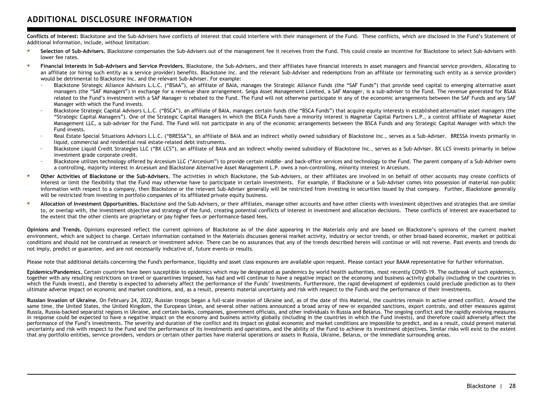**Conflicts of Interest:** Blackstone and the Sub-Advisers have conflicts of interest that could interfere with their management of the Fund. These conflicts, which are disclosed in the Fund's Statement of Additional Information, include, without limitation:

- **Selection of Sub-Advisers.** Blackstone compensates the Sub-Advisers out of the management fee it receives from the Fund. This could create an incentive for Blackstone to select Sub-Advisers with lower fee rates.
- " Financial Interests in Sub-Advisers and Service Providers, Blackstone, the Sub-Advisers, and their affiliates have financial interests in asset managers and financial service providers. Allocating to an affiliate (or hiring such entity as a service provider) benefits. Blackstone Inc. and the relevant Sub-Adviser and redemptions from an affiliate (or terminating such entity as a service provider) would be detrimental to Blackstone Inc. and the relevant Sub-Adviser. For example:
	- Blackstone Strategic Alliance Advisors L.L.C. ("BSAA"), an affiliate of BAIA, manages the Strategic Alliance Funds (the "SAF Funds") that provide seed capital to emerging alternative asset managers (the "SAF Managers") in exchange for a revenue share arrangement. Seiga Asset Management Limited, a SAF Manager, is a sub-adviser to the Fund. The revenue generated for BSAA related to the Fund's investment with a SAF Manager is rebated to the Fund. The Fund will not otherwise participate in any of the economic arrangements between the SAF Funds and any SAF Manager with which the Fund invests.
	- Blackstone Strategic Capital Advisors L.L.C. ("BSCA"), an affiliate of BAIA, manages certain funds (the "BSCA Funds") that acquire equity interests in established alternative asset managers (the "Strategic Capital Managers"). One of the Strategic Capital Managers in which the BSCA Funds have a minority interest is Magnetar Capital Partners L.P., a control affiliate of Magnetar Asset Management LLC, a sub-adviser for the Fund. The Fund will not participate in any of the economic arrangements between the BSCA Funds and any Strategic Capital Manager with which the Fund invests.
	- Real Estate Special Situations Advisors L.L.C. ("BRESSA"), an affiliate of BAIA and an indirect wholly owned subsidiary of Blackstone Inc., serves as a Sub-Adviser. BRESSA invests primarily in liquid, commercial and residential real estate-related debt instruments.
	- Blackstone Liquid Credit Strategies LLC ("BX LCS"), an affiliate of BAIA and an indirect wholly owned subsidiary of Blackstone Inc., serves as a Sub-Adviser. BX LCS invests primarily in below investment grade corporate credit.
	- Blackstone utilizes technology offered by Arcesium LLC ("Arcesium") to provide certain middle- and back-office services and technology to the Fund. The parent company of a Sub-Adviser owns a controlling, majority interest in Arcesium and Blackstone Alternative Asset Management L.P. owns a non-controlling, minority interest in Arcesium.
- " Other Activities of Blackstone or the Sub-Advisers. The activities in which Blackstone, the Sub-Advisers, or their affiliates are involved in on behalf of other accounts may create conflicts of interest or limit the flexibility that the Fund may otherwise have to participate in certain investments. For example, if Blackstone or a Sub-Adviser comes into possession of material non-public information with respect to a company, then Blackstone or the relevant Sub-Adviser generally will be restricted from investing in securities issued by that company. Further, Blackstone generally will be restricted from investing in portfolio companies of its affiliated private equity business.
- Allocation of Investment Opportunities, Blackstone and the Sub-Advisers, or their affiliates, manage other accounts and have other clients with investment objectives and strategies that are similar to, or overlap with, the investment objective and strategy of the fund, creating potential conflicts of interest in investment and allocation decisions. These conflicts of interest are exacerbated to the extent that the other clients are proprietary or pay higher fees or performance-based fees.

**Opinions and Trends.** Opinions expressed reflect the current opinions of Blackstone as of the date appearing in the Materials only and are based on Blackstone's opinions of the current market environment, which are subject to change. Certain information contained in the Materials discusses general market activity, industry or sector trends, or other broad-based economic, market or political conditions and should not be construed as research or investment advice. There can be no assurances that any of the trends described herein will continue or will not reverse. Past events and trends do not imply, predict or guarantee, and are not necessarily indicative of, future events or results.

Please note that additional details concerning the Fund's performance, liquidity and asset class exposures are available upon request. Please contact your BAAM representative for further information.

Epidemics/Pandemics. Certain countries have been susceptible to epidemics which may be designated as pandemics by world health authorities, most recently COVID-19. The outbreak of such epidemics, together with any resulting restrictions on travel or quarantines imposed, has had and will continue to have a negative impact on the economy and business activity globally (including in the countries in which the Funds invest), and thereby is expected to adversely affect the performance of the Funds' Investments. Furthermore, the rapid development of epidemics could preclude prediction as to their ultimate adverse impact on economic and market conditions, and, as a result, presents material uncertainty and risk with respect to the Funds and the performance of their Investments.

Russian Invasion of Ukraine, On February 24, 2022, Russian troops began a full-scale invasion of Ukraine and, as of the date of this Material, the countries remain in active armed conflict. Around the same time, the United States, the United Kingdom, the European Union, and several other nations announced a broad array of new or expanded sanctions, export controls, and other measures against Russia, Russia-backed separatist regions in Ukraine, and certain banks, companies, government officials, and other individuals in Russia and Belarus. The ongoing conflict and the rapidly evolving measures in response could be expected to have a negative impact on the economy and business activity globally (including in the countries in which the Fund invests), and therefore could adversely affect the performance of the Fund's investments. The severity and duration of the conflict and its impact on global economic and market conditions are impossible to predict, and as a result, could present material uncertainty and risk with respect to the Fund and the performance of its investments and operations, and the ability of the Fund to achieve its investment objectives. Similar risks will exist to the extent that any portfolio entities, service providers, vendors or certain other parties have material operations or assets in Russia, Ukraine, Belarus, or the immediate surrounding areas.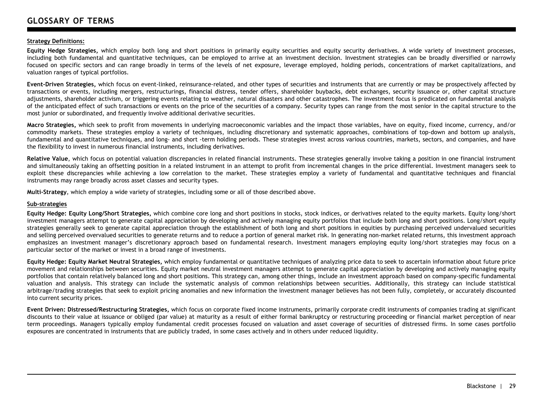### **Strategy Definitions:**

**Equity Hedge Strategies,** which employ both long and short positions in primarily equity securities and equity security derivatives. A wide variety of investment processes, including both fundamental and quantitative techniques, can be employed to arrive at an investment decision. Investment strategies can be broadly diversified or narrowly focused on specific sectors and can range broadly in terms of the levels of net exposure, leverage employed, holding periods, concentrations of market capitalizations, and valuation ranges of typical portfolios.

**Event-Driven Strategies,** which focus on event-linked, reinsurance-related, and other types of securities and instruments that are currently or may be prospectively affected by transactions or events, including mergers, restructurings, financial distress, tender offers, shareholder buybacks, debt exchanges, security issuance or, other capital structure adjustments, shareholder activism, or triggering events relating to weather, natural disasters and other catastrophes. The investment focus is predicated on fundamental analysis of the anticipated effect of such transactions or events on the price of the securities of a company. Security types can range from the most senior in the capital structure to the most junior or subordinated, and frequently involve additional derivative securities.

**Macro Strategies,** which seek to profit from movements in underlying macroeconomic variables and the impact those variables, have on equity, fixed income, currency, and/or commodity markets. These strategies employ a variety of techniques, including discretionary and systematic approaches, combinations of top-down and bottom up analysis, fundamental and quantitative techniques, and long- and short -term holding periods. These strategies invest across various countries, markets, sectors, and companies, and have the flexibility to invest in numerous financial instruments, including derivatives.

**Relative Value**, which focus on potential valuation discrepancies in related financial instruments. These strategies generally involve taking a position in one financial instrument and simultaneously taking an offsetting position in a related instrument in an attempt to profit from incremental changes in the price differential. Investment managers seek to exploit these discrepancies while achieving a low correlation to the market. These strategies employ a variety of fundamental and quantitative techniques and financial instruments may range broadly across asset classes and security types.

**Multi-Strategy**, which employ a wide variety of strategies, including some or all of those described above.

### **Sub-strategies**

**Equity Hedge: Equity Long/Short Strategies,** which combine core long and short positions in stocks, stock indices, or derivatives related to the equity markets. Equity long/short investment managers attempt to generate capital appreciation by developing and actively managing equity portfolios that include both long and short positions. Long/short equity strategies generally seek to generate capital appreciation through the establishment of both long and short positions in equities by purchasing perceived undervalued securities and selling perceived overvalued securities to generate returns and to reduce a portion of general market risk. In generating non-market related returns, this investment approach emphasizes an investment manager's discretionary approach based on fundamental research. Investment managers employing equity long/short strategies may focus on a particular sector of the market or invest in a broad range of investments.

**Equity Hedge: Equity Market Neutral Strategies,** which employ fundamental or quantitative techniques of analyzing price data to seek to ascertain information about future price movement and relationships between securities. Equity market neutral investment managers attempt to generate capital appreciation by developing and actively managing equity portfolios that contain relatively balanced long and short positions. This strategy can, among other things, include an investment approach based on company-specific fundamental valuation and analysis. This strategy can include the systematic analysis of common relationships between securities. Additionally, this strategy can include statistical arbitrage/trading strategies that seek to exploit pricing anomalies and new information the investment manager believes has not been fully, completely, or accurately discounted into current security prices.

**Event Driven: Distressed/Restructuring Strategies,** which focus on corporate fixed income instruments, primarily corporate credit instruments of companies trading at significant discounts to their value at issuance or obliged (par value) at maturity as a result of either formal bankruptcy or restructuring proceeding or financial market perception of near term proceedings. Managers typically employ fundamental credit processes focused on valuation and asset coverage of securities of distressed firms. In some cases portfolio exposures are concentrated in instruments that are publicly traded, in some cases actively and in others under reduced liquidity.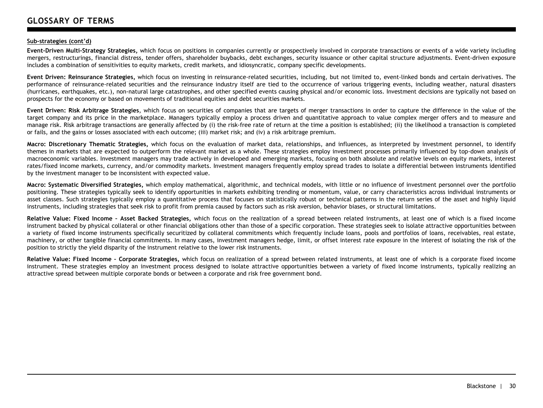### **Sub-strategies (cont'd)**

**Event-Driven Multi-Strategy Strategies,** which focus on positions in companies currently or prospectively involved in corporate transactions or events of a wide variety including mergers, restructurings, financial distress, tender offers, shareholder buybacks, debt exchanges, security issuance or other capital structure adjustments. Event-driven exposure includes a combination of sensitivities to equity markets, credit markets, and idiosyncratic, company specific developments.

**Event Driven: Reinsurance Strategies,** which focus on investing in reinsurance-related securities, including, but not limited to, event-linked bonds and certain derivatives. The performance of reinsurance-related securities and the reinsurance industry itself are tied to the occurrence of various triggering events, including weather, natural disasters (hurricanes, earthquakes, etc.), non-natural large catastrophes, and other specified events causing physical and/or economic loss. Investment decisions are typically not based on prospects for the economy or based on movements of traditional equities and debt securities markets.

**Event Driven: Risk Arbitrage Strategies**, which focus on securities of companies that are targets of merger transactions in order to capture the difference in the value of the target company and its price in the marketplace. Managers typically employ a process driven and quantitative approach to value complex merger offers and to measure and manage risk. Risk arbitrage transactions are generally affected by (i) the risk-free rate of return at the time a position is established; (ii) the likelihood a transaction is completed or fails, and the gains or losses associated with each outcome; (iii) market risk; and (iv) a risk arbitrage premium.

**Macro: Discretionary Thematic Strategies,** which focus on the evaluation of market data, relationships, and influences, as interpreted by investment personnel, to identify themes in markets that are expected to outperform the relevant market as a whole. These strategies employ investment processes primarily influenced by top-down analysis of macroeconomic variables. Investment managers may trade actively in developed and emerging markets, focusing on both absolute and relative levels on equity markets, interest rates/fixed income markets, currency, and/or commodity markets. Investment managers frequently employ spread trades to isolate a differential between instruments identified by the investment manager to be inconsistent with expected value.

**Macro: Systematic Diversified Strategies,** which employ mathematical, algorithmic, and technical models, with little or no influence of investment personnel over the portfolio positioning. These strategies typically seek to identify opportunities in markets exhibiting trending or momentum, value, or carry characteristics across individual instruments or asset classes. Such strategies typically employ a quantitative process that focuses on statistically robust or technical patterns in the return series of the asset and highly liquid instruments, including strategies that seek risk to profit from premia caused by factors such as risk aversion, behavior biases, or structural limitations.

**Relative Value: Fixed Income – Asset Backed Strategies,** which focus on the realization of a spread between related instruments, at least one of which is a fixed income instrument backed by physical collateral or other financial obligations other than those of a specific corporation. These strategies seek to isolate attractive opportunities between a variety of fixed income instruments specifically securitized by collateral commitments which frequently include loans, pools and portfolios of loans, receivables, real estate, machinery, or other tangible financial commitments. In many cases, investment managers hedge, limit, or offset interest rate exposure in the interest of isolating the risk of the position to strictly the yield disparity of the instrument relative to the lower risk instruments.

**Relative Value: Fixed Income – Corporate Strategies,** which focus on realization of a spread between related instruments, at least one of which is a corporate fixed income instrument. These strategies employ an investment process designed to isolate attractive opportunities between a variety of fixed income instruments, typically realizing an attractive spread between multiple corporate bonds or between a corporate and risk free government bond.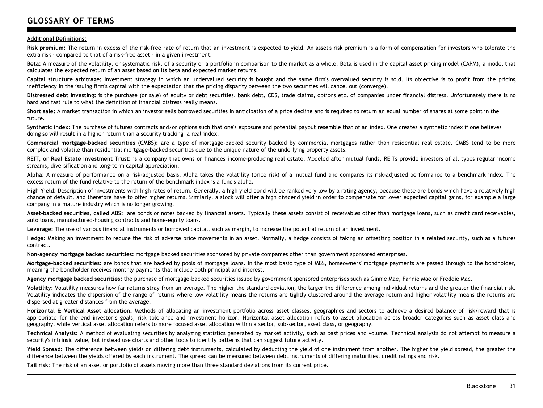## **GLOSSARY OF TERMS**

### **Additional Definitions:**

Risk premium: The return in excess of the risk-free rate of return that an investment is expected to yield. An asset's risk premium is a form of compensation for investors who tolerate the extra risk - compared to that of a risk-free asset - in a given investment.

**Beta:** A measure of the volatility, or systematic risk, of a security or a portfolio in comparison to the market as a whole. Beta is used in the capital asset pricing model (CAPM), a model that calculates the expected return of an asset based on its beta and expected market returns.

**Capital structure arbitrage:** Investment strategy in which an undervalued security is bought and the same firm's overvalued security is sold. Its objective is to profit from the pricing inefficiency in the issuing firm's capital with the expectation that the pricing disparity between the two securities will cancel out (converge).

**Distressed debt investing:** is the purchase (or sale) of equity or debt securities, bank debt, CDS, trade claims, options etc. of companies under financial distress. Unfortunately there is no hard and fast rule to what the definition of financial distress really means.

**Short sale:** A market transaction in which an investor sells borrowed securities in anticipation of a price decline and is required to return an equal number of shares at some point in the future.

**Synthetic index:** The purchase of futures contracts and/or options such that one's exposure and potential payout resemble that of an index. One creates a synthetic index if one believes doing so will result in a higher return than a security tracking a real index.

**Commercial mortgage-backed securities (CMBS):** are a type of mortgage-backed security backed by commercial mortgages rather than residential real estate. CMBS tend to be more complex and volatile than residential mortgage-backed securities due to the unique nature of the underlying property assets.

REIT, or Real Estate Investment Trust: is a company that owns or finances income-producing real estate. Modeled after mutual funds, REITs provide investors of all types regular income streams, diversification and long-term capital appreciation.

**Alpha:** A measure of performance on a risk-adjusted basis. Alpha takes the volatility (price risk) of a mutual fund and compares its risk-adjusted performance to a benchmark index. The excess return of the fund relative to the return of the benchmark index is a fund's alpha.

**High Yield:** Description of investments with high rates of return. Generally, a high yield bond will be ranked very low by a rating agency, because these are bonds which have a relatively high chance of default, and therefore have to offer higher returns. Similarly, a stock will offer a high dividend yield in order to compensate for lower expected capital gains, for example a large company in a mature industry which is no longer growing.

**Asset-backed securities, called ABS:** are bonds or notes backed by financial assets. Typically these assets consist of receivables other than mortgage loans, such as credit card receivables, auto loans, manufactured-housing contracts and home-equity loans.

**Leverage:** The use of various financial instruments or borrowed capital, such as margin, to increase the potential return of an investment.

**Hedge:** Making an investment to reduce the risk of adverse price movements in an asset. Normally, a hedge consists of taking an offsetting position in a related security, such as a futures contract.

**Non-agency mortgage backed securities:** mortgage backed securities sponsored by private companies other than government sponsored enterprises.

**Mortgage-backed securities:** are bonds that are backed by pools of mortgage loans. In the most basic type of MBS, homeowners' mortgage payments are passed through to the bondholder, meaning the bondholder receives monthly payments that include both principal and interest.

**Agency mortgage backed securities:** the purchase of mortgage-backed securities issued by government sponsored enterprises such as Ginnie Mae, Fannie Mae or Freddie Mac.

**Volatility:** Volatility measures how far returns stray from an average. The higher the standard deviation, the larger the difference among individual returns and the greater the financial risk. Volatility indicates the dispersion of the range of returns where low volatility means the returns are tightly clustered around the average return and higher volatility means the returns are dispersed at greater distances from the average.

**Horizontal & Vertical Asset allocation:** Methods of allocating an investment portfolio across asset classes, geographies and sectors to achieve a desired balance of risk/reward that is appropriate for the end investor's goals, risk tolerance and investment horizon. Horizontal asset allocation refers to asset allocation across broader categories such as asset class and geography, while vertical asset allocation refers to more focused asset allocation within a sector, sub-sector, asset class, or geography.

**Technical Analysis:** A method of evaluating securities by analyzing statistics generated by market activity, such as past prices and volume. Technical analysts do not attempt to measure a security's intrinsic value, but instead use charts and other tools to identify patterns that can suggest future activity.

**Yield Spread:** The difference between yields on differing debt instruments, calculated by deducting the yield of one instrument from another. The higher the yield spread, the greater the difference between the yields offered by each instrument. The spread can be measured between debt instruments of differing maturities, credit ratings and risk.

**Tail risk**: The risk of an asset or portfolio of assets moving more than three standard deviations from its current price.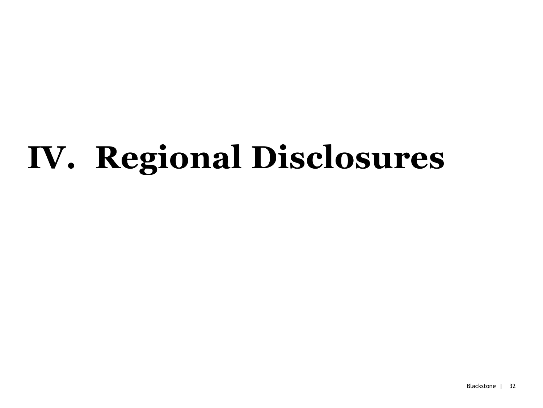# **IV. Regional Disclosures**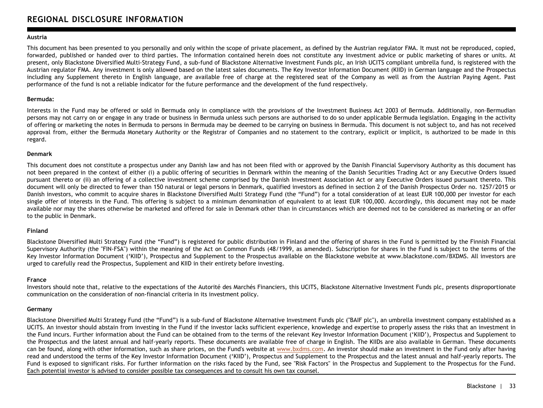### **REGIONAL DISCLOSURE INFORMATION**

### **Austria**

This document has been presented to you personally and only within the scope of private placement, as defined by the Austrian regulator FMA. It must not be reproduced, copied, forwarded, published or handed over to third parties. The information contained herein does not constitute any investment advice or public marketing of shares or units. At present, only Blackstone Diversified Multi-Strategy Fund, a sub-fund of Blackstone Alternative Investment Funds plc, an Irish UCITS compliant umbrella fund, is registered with the Austrian regulator FMA. Any investment is only allowed based on the latest sales documents. The Key Investor Information Document (KIID) in German language and the Prospectus including any Supplement thereto in English language, are available free of charge at the registered seat of the Company as well as from the Austrian Paying Agent. Past performance of the fund is not a reliable indicator for the future performance and the development of the fund respectively.

### **Bermuda:**

Interests in the Fund may be offered or sold in Bermuda only in compliance with the provisions of the Investment Business Act 2003 of Bermuda. Additionally, non–Bermudian persons may not carry on or engage in any trade or business in Bermuda unless such persons are authorised to do so under applicable Bermuda legislation. Engaging in the activity of offering or marketing the notes in Bermuda to persons in Bermuda may be deemed to be carrying on business in Bermuda. This document is not subject to, and has not received approval from, either the Bermuda Monetary Authority or the Registrar of Companies and no statement to the contrary, explicit or implicit, is authorized to be made in this regard.

### **Denmark**

This document does not constitute a prospectus under any Danish law and has not been filed with or approved by the Danish Financial Supervisory Authority as this document has not been prepared in the context of either (i) a public offering of securities in Denmark within the meaning of the Danish Securities Trading Act or any Executive Orders issued pursuant thereto or (ii) an offering of a collective investment scheme comprised by the Danish Investment Association Act or any Executive Orders issued pursuant thereto. This document will only be directed to fewer than 150 natural or legal persons in Denmark, qualified investors as defined in section 2 of the Danish Prospectus Order no. 1257/2015 or Danish investors, who commit to acquire shares in Blackstone Diversified Multi Strategy Fund (the "Fund") for a total consideration of at least EUR 100,000 per investor for each single offer of interests in the Fund. This offering is subject to a minimum denomination of equivalent to at least EUR 100,000. Accordingly, this document may not be made available nor may the shares otherwise be marketed and offered for sale in Denmark other than in circumstances which are deemed not to be considered as marketing or an offer to the public in Denmark.

### **Finland**

Blackstone Diversified Multi Strategy Fund (the "Fund") is registered for public distribution in Finland and the offering of shares in the Fund is permitted by the Finnish Financial Supervisory Authority (the "FIN-FSA") within the meaning of the Act on Common Funds (48/1999, as amended). Subscription for shares in the Fund is subject to the terms of the Key Investor Information Document ('KIID'), Prospectus and Supplement to the Prospectus available on the Blackstone website at www.blackstone.com/BXDMS. All investors are urged to carefully read the Prospectus, Supplement and KIID in their entirety before investing.

### **France**

Investors should note that, relative to the expectations of the Autorité des Marchés Financiers, this UCITS, Blackstone Alternative Investment Funds plc, presents disproportionate communication on the consideration of non-financial criteria in its investment policy.

### **Germany**

Blackstone Diversified Multi Strategy Fund (the "Fund") is a sub-fund of Blackstone Alternative Investment Funds plc ("BAIF plc"), an umbrella investment company established as a UCITS. An investor should abstain from investing in the Fund if the investor lacks sufficient experience, knowledge and expertise to properly assess the risks that an investment in the Fund incurs. Further information about the Fund can be obtained from to the terms of the relevant Key Investor Information Document ('KIID'), Prospectus and Supplement to the Prospectus and the latest annual and half-yearly reports. These documents are available free of charge in English. The KIIDs are also available in German. These documents can be found, along with other information, such as share prices, on the Fund's website at [www.bxdms.com.](http://www.bxdms.com/) An investor should make an investment in the Fund only after having read and understood the terms of the Key Investor Information Document ('KIID'), Prospectus and Supplement to the Prospectus and the latest annual and half-yearly reports. The Fund is exposed to significant risks. For further information on the risks faced by the Fund, see "Risk Factors" in the Prospectus and Supplement to the Prospectus for the Fund. Each potential investor is advised to consider possible tax consequences and to consult his own tax counsel.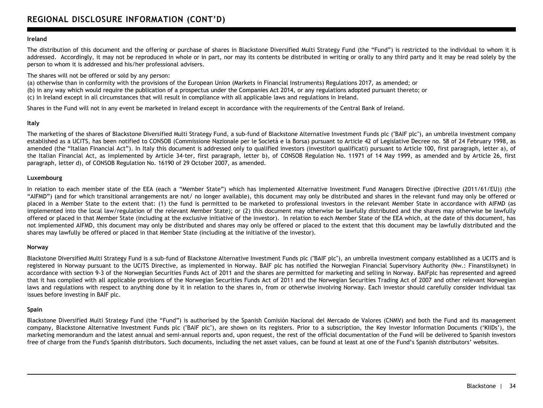### **Ireland**

The distribution of this document and the offering or purchase of shares in Blackstone Diversified Multi Strategy Fund (the "Fund") is restricted to the individual to whom it is addressed. Accordingly, it may not be reproduced in whole or in part, nor may its contents be distributed in writing or orally to any third party and it may be read solely by the person to whom it is addressed and his/her professional advisers.

The shares will not be offered or sold by any person:

(a) otherwise than in conformity with the provisions of the European Union (Markets in Financial Instruments) Regulations 2017, as amended; or (b) in any way which would require the publication of a prospectus under the Companies Act 2014, or any regulations adopted pursuant thereto; or (c) in Ireland except in all circumstances that will result in compliance with all applicable laws and regulations in Ireland.

Shares in the Fund will not in any event be marketed in Ireland except in accordance with the requirements of the Central Bank of Ireland.

### **Italy**

The marketing of the shares of Blackstone Diversified Multi Strategy Fund, a sub-fund of Blackstone Alternative Investment Funds plc ("BAIF plc"), an umbrella investment company established as a UCITS, has been notified to CONSOB (Commissione Nazionale per le Società e la Borsa) pursuant to Article 42 of Legislative Decree no. 58 of 24 February 1998, as amended (the "Italian Financial Act"). In Italy this document is addressed only to qualified investors (investitori qualificati) pursuant to Article 100, first paragraph, letter a), of the Italian Financial Act, as implemented by Article 34-ter, first paragraph, letter b), of CONSOB Regulation No. 11971 of 14 May 1999, as amended and by Article 26, first paragraph, letter d), of CONSOB Regulation No. 16190 of 29 October 2007, as amended.

### **Luxembourg**

In relation to each member state of the EEA (each a "Member State") which has implemented Alternative Investment Fund Managers Directive (Directive (2011/61/EU)) (the "AIFMD") (and for which transitional arrangements are not/ no longer available), this document may only be distributed and shares in the relevant fund may only be offered or placed in a Member State to the extent that: (1) the fund is permitted to be marketed to professional investors in the relevant Member State in accordance with AIFMD (as implemented into the local law/regulation of the relevant Member State); or (2) this document may otherwise be lawfully distributed and the shares may otherwise be lawfully offered or placed in that Member State (including at the exclusive initiative of the investor). In relation to each Member State of the EEA which, at the date of this document, has not implemented AIFMD, this document may only be distributed and shares may only be offered or placed to the extent that this document may be lawfully distributed and the shares may lawfully be offered or placed in that Member State (including at the initiative of the investor).

### **Norway**

Blackstone Diversified Multi Strategy Fund is a sub-fund of Blackstone Alternative Investment Funds plc ("BAIF plc"), an umbrella investment company established as a UCITS and is registered in Norway pursuant to the UCITS Directive, as implemented in Norway. BAIF plc has notified the Norwegian Financial Supervisory Authority (Nw.: Finanstilsynet) in accordance with section 9-3 of the Norwegian Securities Funds Act of 2011 and the shares are permitted for marketing and selling in Norway. BAIFplc has represented and agreed that it has complied with all applicable provisions of the Norwegian Securities Funds Act of 2011 and the Norwegian Securities Trading Act of 2007 and other relevant Norwegian laws and regulations with respect to anything done by it in relation to the shares in, from or otherwise involving Norway. Each investor should carefully consider individual tax issues before investing in BAIF plc.

### **Spain**

Blackstone Diversified Multi Strategy Fund (the "Fund") is authorised by the Spanish Comisión Nacional del Mercado de Valores (CNMV) and both the Fund and its management company, Blackstone Alternative Investment Funds plc ("BAIF plc"), are shown on its registers. Prior to a subscription, the Key Investor Information Documents ('KIIDs'), the marketing memorandum and the latest annual and semi-annual reports and, upon request, the rest of the official documentation of the Fund will be delivered to Spanish investors free of charge from the Fund's Spanish distributors. Such documents, including the net asset values, can be found at least at one of the Fund's Spanish distributors' websites.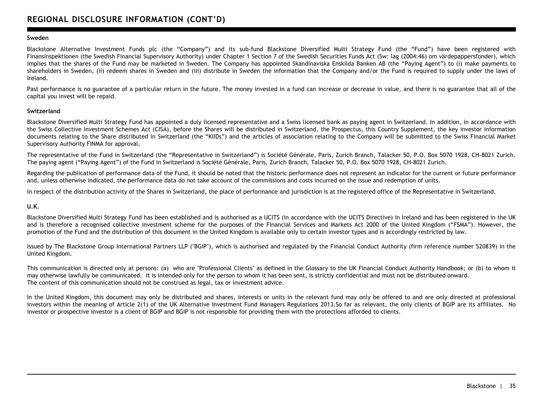### **Sweden**

Blackstone Alternative Investment Funds plc (the "Company") and its sub-fund Blackstone Diversified Multi Strategy Fund (the "Fund") have been registered with Finansinspektionen (the Swedish Financial Supervisory Authority) under Chapter 1 Section 7 of the Swedish Securities Funds Act (Sw: lag (2004:46) om värdepappersfonder), which implies that the shares of the Fund may be marketed in Sweden. The Company has appointed Skandinaviska Enskilda Banken AB (the "Paying Agent") to (i) make payments to shareholders in Sweden, (ii) redeem shares in Sweden and (iii) distribute in Sweden the information that the Company and/or the Fund is required to supply under the laws of Ireland.

Past performance is no guarantee of a particular return in the future. The money invested in a fund can increase or decrease in value, and there is no guarantee that all of the capital you invest will be repaid.

### **Switzerland**

Blackstone Diversified Multi Strategy Fund has appointed a duly licensed representative and a Swiss licensed bank as paying agent in Switzerland. In addition, in accordance with the Swiss Collective Investment Schemes Act (CISA), before the Shares will be distributed in Switzerland, the Prospectus, this Country Supplement, the key investor information documents relating to the Share distributed in Switzerland (the "KIIDs") and the articles of association relating to the Company will be submitted to the Swiss Financial Market Supervisory Authority FINMA for approval.

The representative of the Fund in Switzerland (the "Representative in Switzerland") is Société Générale, Paris, Zurich Branch, Talacker 50, P.O. Box 5070 1928, CH-8021 Zurich. The paying agent ("Paying Agent") of the Fund in Switzerland is Société Générale, Paris, Zurich Branch, Talacker 50, P.O. Box 5070 1928, CH-8021 Zurich.

Regarding the publication of performance data of the Fund, it should be noted that the historic performance does not represent an indicator for the current or future performance and, unless otherwise indicated, the performance data do not take account of the commissions and costs incurred on the issue and redemption of units.

In respect of the distribution activity of the Shares in Switzerland, the place of performance and jurisdiction is at the registered office of the Representative in Switzerland.

### **U.K.**

Blackstone Diversified Multi Strategy Fund has been established and is authorised as a UCITS (in accordance with the UCITS Directive) in Ireland and has been registered in the UK and is therefore a recognised collective investment scheme for the purposes of the Financial Services and Markets Act 2000 of the United Kingdom ("FSMA"). However, the promotion of the Fund and the distribution of this document in the United Kingdom is available only to certain investor types and is accordingly restricted by law.

Issued by The Blackstone Group International Partners LLP ("BGIP"), which is authorised and regulated by the Financial Conduct Authority (firm reference number 520839) in the United Kingdom.

This communication is directed only at persons: (a) who are "Professional Clients" as defined in the Glossary to the UK Financial Conduct Authority Handbook; or (b) to whom it may otherwise lawfully be communicated. It is intended only for the person to whom it has been sent, is strictly confidential and must not be distributed onward. The content of this communication should not be construed as legal, tax or investment advice.

In the United Kingdom, this document may only be distributed and shares, interests or units in the relevant fund may only be offered to and are only directed at professional investors within the meaning of Article 2(1) of the UK Alternative Investment Fund Managers Regulations 2013.So far as relevant, the only clients of BGIP are its affiliates. No investor or prospective investor is a client of BGIP and BGIP is not responsible for providing them with the protections afforded to clients.